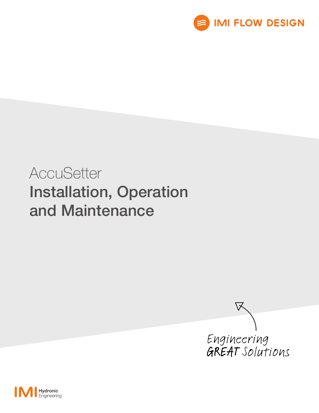

# **AccuSetter** Installation, Operation and Maintenance



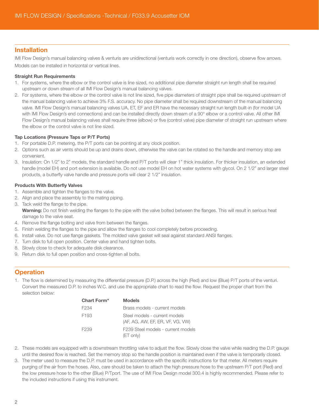#### Installation

IMI Flow Design's manual balancing valves & venturis are unidirectional (venturis work correctly in one direction), observe flow arrows. Models can be installed in horizontal or vertical lines.

#### Straight Run Requirements

- 1. For systems, where the elbow or the control valve is line sized, no additional pipe diameter straight run length shall be required upstream or down stream of all IMI Flow Design's manual balancing valves.
- 2. For systems, where the elbow or the control valve is not line sized, five pipe diameters of straight pipe shall be required upstream of the manual balancing valve to achieve 3% F.S. accuracy. No pipe diameter shall be required downstream of the manual balancing valve. IMI Flow Design's manual balancing valves UA, ET, EF and ER have the necessary straight run length built-in (for model UA with IMI Flow Design's end connections) and can be installed directly down stream of a 90° elbow or a control valve. All other IMI Flow Design's manual balancing valves shall require three (elbow) or five (control valve) pipe diameter of straight run upstream where the elbow or the control valve is not line sized.

#### Tap Locations (Pressure Taps or P/T Ports)

- 1. For portable D.P. metering, the P/T ports can be pointing at any clock position.
- 2. Options such as air vents should be up and drains down, otherwise the valve can be rotated so the handle and memory stop are convenient.
- 3. Insulation: On 1/2" to 2" models, the standard handle and P/T ports will clear 1" thick insulation. For thicker insulation, an extended handle (model EH) and port extension is available. Do not use model EH on hot water systems with glycol. On 2 1/2" and larger steel products, a butterfly valve handle and pressure ports will clear 2 1/2" insulation.

#### Products With Butterfly Valves

- 1. Assemble and tighten the flanges to the valve.
- 2. Align and place the assembly to the mating piping.
- 3. Tack weld the flange to the pipe.
	- Warning: Do not finish welding the flanges to the pipe with the valve bolted between the flanges. This will result in serious heat damage to the valve seat.
- 4. Remove the flange bolting and valve from between the flanges.
- 5. Finish welding the flanges to the pipe and allow the flanges to cool completely before proceeding.
- 6. Install valve. Do not use flange gaskets. The molded valve gasket will seal against standard ANSI flanges.
- 7. Turn disk to full open position. Center valve and hand tighten bolts.
- 8. Slowly close to check for adequate disk clearance.
- 9. Return disk to full open position and cross-tighten all bolts.

### **Operation**

1. The flow is determined by measuring the differential pressure (D.P.) across the high (Red) and low (Blue) P/T ports of the venturi. Convert the measured D.P. to inches W.C. and use the appropriate chart to read the flow. Request the proper chart from the selection below:

| Chart Form* | <b>Models</b>                                                     |
|-------------|-------------------------------------------------------------------|
| F234        | Brass models - current models                                     |
| F193        | Steel models - current models<br>(AF, AG, AW, EF, ER, VF, VG, VW) |
| F239        | F239 Steel models - current models<br>$ET$ only)                  |

- 2. These models are equipped with a downstream throttling valve to adjust the flow. Slowly close the valve while reading the D.P. gauge until the desired flow is reached. Set the memory stop so the handle position is maintained even if the valve is temporarily closed.
- 3. The meter used to measure the D.P. must be used in accordance with the specific instructions for that meter. All meters require purging of the air from the hoses. Also, care should be taken to attach the high pressure hose to the upstream P/T port (Red) and the low pressure hose to the other (Blue) P/Tport. The use of IMI Flow Design model 300.4 is highly recommended. Please refer to the included instructions if using this instrument.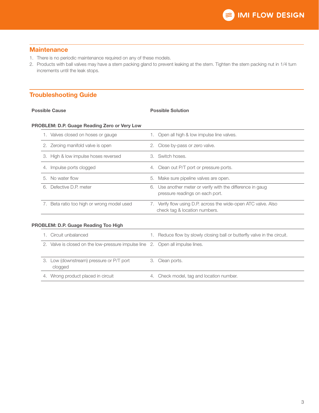#### **Maintenance**

- 1. There is no periodic maintenance required on any of these models.
- 2. Products with ball valves may have a stem packing gland to prevent leaking at the stem. Tighten the stem packing nut in 1/4 turn increments until the leak stops.

## Troubleshooting Guide

#### Possible Cause **Possible Cause**

#### PROBLEM: D.P. Guage Reading Zero or Very Low

| Valves closed on hoses or gauge         | Open all high & low impulse line valves.                                                        |
|-----------------------------------------|-------------------------------------------------------------------------------------------------|
| 2. Zeroing manifold valve is open       | 2. Close by-pass or zero valve.                                                                 |
| 3. High & low impulse hoses reversed    | 3. Switch hoses.                                                                                |
| Impulse ports clogged                   | 4. Clean out P/T port or pressure ports.                                                        |
| 5. No water flow                        | 5. Make sure pipeline valves are open.                                                          |
| 6. Defective D.P. meter                 | 6. Use another meter or verify with the difference in gauge<br>pressure readings on each port.  |
| Beta ratio too high or wrong model used | 7. Verify flow using D.P. across the wide-open ATC valve. Also<br>check tag & location numbers. |
|                                         |                                                                                                 |

#### PROBLEM: D.P. Guage Reading Too High

| 1. Circuit unbalanced                                                          | 1. Reduce flow by slowly closing ball or butterfly valve in the circuit. |
|--------------------------------------------------------------------------------|--------------------------------------------------------------------------|
| 2. Valve is closed on the low-pressure impulse line 2. Open all impulse lines. |                                                                          |
|                                                                                |                                                                          |
| 3. Low (downstream) pressure or P/T port<br>clogged                            | 3. Clean ports.                                                          |
| 4. Wrong product placed in circuit                                             | 4. Check model, tag and location number.                                 |